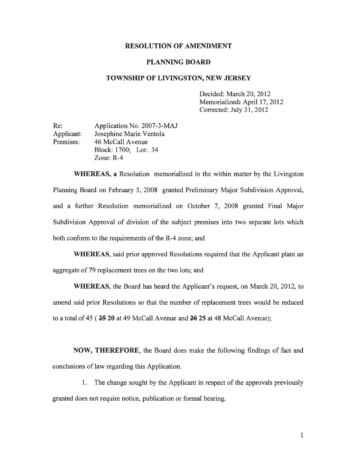## RESOLUTION OF AMENDMENT

## PLANNING BOARD

## TOWNSHIP OF LIVINGSTON, NEW JERSEY

Decided: March 20, 2012 Memorialized: April 17, 2012 Corrected: July 31, 2012

| Re:        | Application No. 2007-3-MAJ |
|------------|----------------------------|
| Applicant: | Josephine Marie Ventola    |
| Premises:  | 46 McCall Avenue           |
|            | Block: 1700; Lot: 34       |
|            | Zone: $R-4$                |

WHEREAS, <sup>a</sup> Resolution memorialized in the within matter by the Livingston Planning Board on February 5, 2008 granted Preliminary Major Subdivision Approval, and <sup>a</sup> further Resolution memorialized on October 7, 2008 granted Final Major Subdivision Approval of division of the subject premises into two separate lots which both conform to the requirements of the R-4 zone; and

WHEREAS, said prior approved Resolutions required that the Applicant plant an aggregate of 79 replacement trees on the two lots; and

WHEREAS, the Board has heard the Applicant's request, on March 20, 2012, to amend said prior Resolutions so that the number of replacement trees would be reduced to a total of 45 ( $2520$  at 49 McCall Avenue and  $2025$  at 48 McCall Avenue);

NOW, THEREFORE, the Board does make the following findings of fact and conclusions of law regarding this Application.

1. The change sought by the Applicant in respec<sup>t</sup> of the approvals previously granted does not require notice, publication or formal hearing.

> $\mathbf{1}$ 1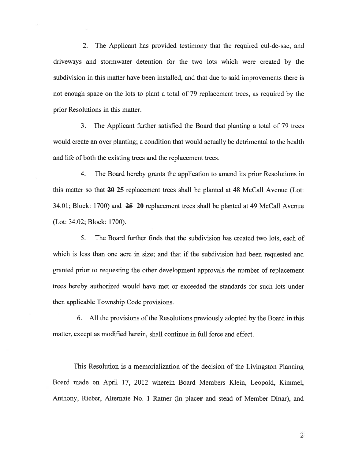2. The Applicant has provided testimony that the required cul-de-sac, and driveways and stormwater detention for the two lots which were created by the subdivision in this matter have been installed, and that due to said improvements there is not enough space on the lots to plant <sup>a</sup> total of 79 replacement trees, as required by the prior Resolutions in this matter.

3. The Applicant further satisfied the Board that planting <sup>a</sup> total of 79 trees would create an over planting; <sup>a</sup> condition that would actually be detrimental to the health and life of both the existing trees and the replacement trees.

4. The Board hereby grants the application to amend its prior Resolutions in this matter so that 20 25 replacement trees shall be planted at 48 McCall Avenue (Lot: 34.01; Block: 1700) and  $25$  20 replacement trees shall be planted at 49 McCall Avenue (Lot: 34.02; Block: 1700).

5. The Board further finds that the subdivision has created two lots, each of which is less than one acre in size; and that if the subdivision had been requested and granted prior to requesting the other development approvals the number of replacement trees hereby authorized would have met or exceeded the standards for such lots under then applicable Township Code provisions.

6. All the provisions of the Resolutions previously adopted by the Board in this matter, excep<sup>t</sup> as modified herein, shall continue in full force and effect.

This Resolution is <sup>a</sup> memorialization of the decision of the Livingston Planning Board made on April 17, 2012 wherein Board Members Klein, Leopold, Kimmel, Anthony, Rieber, Alternate No. 1 Ratner (in placer and stead of Member Dinar), and

2